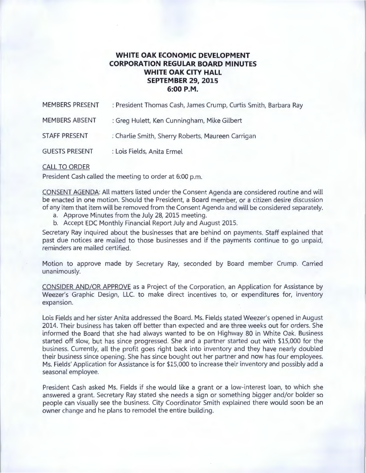## **WHITE OAK ECONOMIC DEVELOPMENT CORPORATION REGULAR BOARD MINUTES WHITE OAK CITY HALL SEPTEMBER 29, 2015 6:00P.M.**

| <b>MEMBERS PRESENT</b> | : President Thomas Cash, James Crump, Curtis Smith, Barbara Ray |
|------------------------|-----------------------------------------------------------------|
| <b>MEMBERS ABSENT</b>  | : Greg Hulett, Ken Cunningham, Mike Gilbert                     |
| STAFF PRESENT          | : Charlie Smith, Sherry Roberts, Maureen Carrigan               |
| <b>GUESTS PRESENT</b>  | : Lois Fields, Anita Ermel                                      |

## CALL TO ORDER

President Cash called the meeting to order at 6:00 p.m.

CONSENT AGENDA: All matters listed under the Consent Agenda are considered routine and will be enacted in one motion. Should the President, a Board member, or a citizen desire discussion of any item that item will be removed from the Consent Agenda and will be considered separately.

- a. Approve Minutes from the July 28, 2015 meeting.
- b. Accept EDC Monthly Financial Report July and August 2015.

Secretary Ray inquired about the businesses that are behind on payments. Staff explained that past due notices are mailed to those businesses and if the payments continue to go unpaid, reminders are mailed certified.

Motion to approve made by Secretary Ray, seconded by Board member Crump. Carried unanimously.

CONSIDER AND/OR APPROVE as a Project of the Corporation, an Application for Assistance by Weezer's Graphic Design, LLC. to make direct incentives to, or expenditures for, inventory expansion.

Lois Fields and her sister Anita addressed the Board. Ms. Fields stated Weezer's opened in August 2014. Their business has taken off better than expected and are three weeks out for orders. She informed the Board that she had always wanted to be on Highway 80 in White Oak. Business started off slow, but has since progressed. She and a partner started out with \$15,000 for the business. Currently, all the profit goes right back into inventory and they have nearly doubled their business since opening. She has since bought out her partner and now has four employees. Ms. Fields' Application for Assistance is for \$15,000 to increase their inventory and possibly add a seasonal employee.

President Cash asked Ms. Fields if she would like a grant or a low-interest loan, to which she answered a grant. Secretary Ray stated she needs a sign or something bigger and/or bolder so people can visually see the business. City Coordinator Smith explained there would soon be an owner change and he plans to remodel the entire building.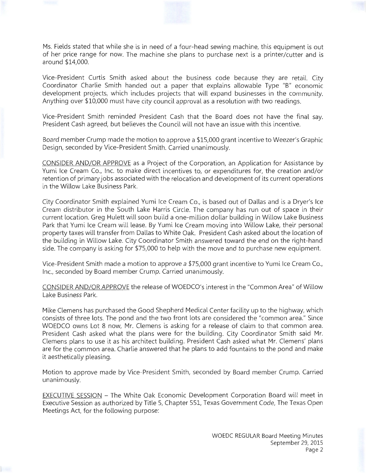Ms. Fields stated that while she is in need of a four-head sewing machine, this equipment is out of her price range for now. The machine she plans to purchase next is a printer/cutter and is around \$14,000.

Vice-President Curtis Smith asked about the business code because they are retail. City Coordinator Charlie Smith handed out a paper that explains allowable Type "B" economic development projects, which includes projects that will expand businesses in the community. Anything over \$10,000 must have city council approval as a resolution with two readings.

Vice-President Smith reminded President Cash that the Board does not have the final say. President Cash agreed, but believes the Council will not have an issue with this incentive.

Board member Crump made the motion to approve a \$15,000 grant incentive to Weezer's Graphic Design, seconded by Vice-President Smith. Carried unanimously.

CONSIDER AND/OR APPROVE as a Project of the Corporation, an Application for Assistance by Yumi Ice Cream Co., Inc. to make direct incentives to, or expenditures for, the creation and/or retention of primary jobs associated with the relocation and development of its current operations in the Willow Lake Business Park.

City Coordinator Smith explained Yumi Ice Cream Co., is based out of Dallas and is a Dryer's Ice Cream distributor in the South Lake Harris Circle. The company has run out of space in their current location. Greg Hulett will soon build a one-million dollar building in Willow Lake Business Park that Yumi Ice Cream will lease. By Yumi Ice Cream moving into Willow Lake, their personal property taxes will transfer from Dallas to White Oak. President Cash asked about the location of the building in Willow Lake. City Coordinator Smith answered toward the end on the right-hand side. The company is asking for \$75,000 to help with the move and to purchase new equipment.

Vice-President Smith made a motion to approve a \$75,000 grant incentive to Yumi Ice Cream Co., Inc., seconded by Board member Crump. Carried unanimously.

CONSIDER AND/OR APPROVE the release of WOEDCO's interest in the "Common Area" of Willow Lake Business Park.

Mike Clemens has purchased the Good Shepherd Medical Center facility up to the highway, which consists of three lots. The pond and the two front lots are considered the "common area ." Since WOEDCO owns Lot 8 now, Mr. Clemens is asking for a release of claim to that common area. President Cash asked what the plans were for the building. City Coordinator Smith said Mr. Clemens plans to use it as his architect building. President Cash asked what Mr. Clemens' plans are for the common area. Charlie answered that he plans to add fountains to the pond and make it aesthetically pleasing.

Motion to approve made by Vice-President Smith, seconded by Board member Crump. Carried unanimously.

EXECUTIVE SESSION - The White Oak Economic Development Corporation Board will meet in Executive Session as authorized by Title 5, Chapter 551, Texas Government Code, The Texas Open Meetings Act, for the following purpose: